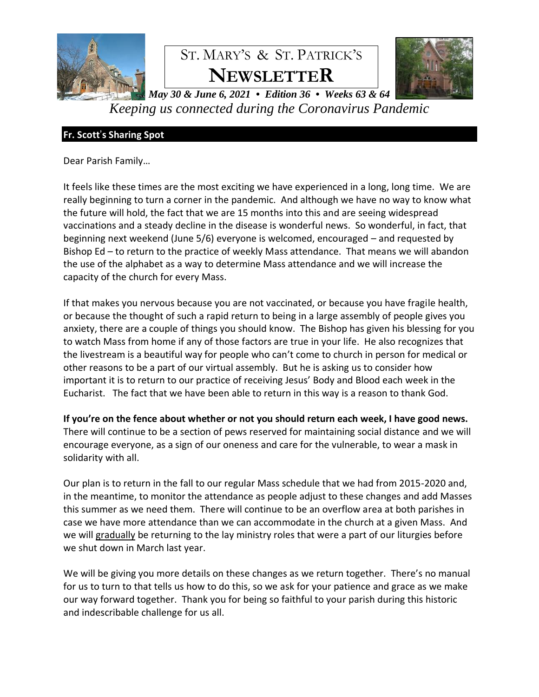

# ST. MARY'S & ST. PATRICK'S **NEWSLETTER**



*May 30 & June 6, 2021 • Edition 36 • Weeks 63 & 64 Keeping us connected during the Coronavirus Pandemic*

# **Fr. Scott**'**s Sharing Spot**

Dear Parish Family…

It feels like these times are the most exciting we have experienced in a long, long time. We are really beginning to turn a corner in the pandemic. And although we have no way to know what the future will hold, the fact that we are 15 months into this and are seeing widespread vaccinations and a steady decline in the disease is wonderful news. So wonderful, in fact, that beginning next weekend (June 5/6) everyone is welcomed, encouraged – and requested by Bishop Ed – to return to the practice of weekly Mass attendance. That means we will abandon the use of the alphabet as a way to determine Mass attendance and we will increase the capacity of the church for every Mass.

If that makes you nervous because you are not vaccinated, or because you have fragile health, or because the thought of such a rapid return to being in a large assembly of people gives you anxiety, there are a couple of things you should know. The Bishop has given his blessing for you to watch Mass from home if any of those factors are true in your life. He also recognizes that the livestream is a beautiful way for people who can't come to church in person for medical or other reasons to be a part of our virtual assembly. But he is asking us to consider how important it is to return to our practice of receiving Jesus' Body and Blood each week in the Eucharist. The fact that we have been able to return in this way is a reason to thank God.

**If you're on the fence about whether or not you should return each week, I have good news.**  There will continue to be a section of pews reserved for maintaining social distance and we will encourage everyone, as a sign of our oneness and care for the vulnerable, to wear a mask in solidarity with all.

Our plan is to return in the fall to our regular Mass schedule that we had from 2015-2020 and, in the meantime, to monitor the attendance as people adjust to these changes and add Masses this summer as we need them. There will continue to be an overflow area at both parishes in case we have more attendance than we can accommodate in the church at a given Mass. And we will gradually be returning to the lay ministry roles that were a part of our liturgies before we shut down in March last year.

We will be giving you more details on these changes as we return together. There's no manual for us to turn to that tells us how to do this, so we ask for your patience and grace as we make our way forward together. Thank you for being so faithful to your parish during this historic and indescribable challenge for us all.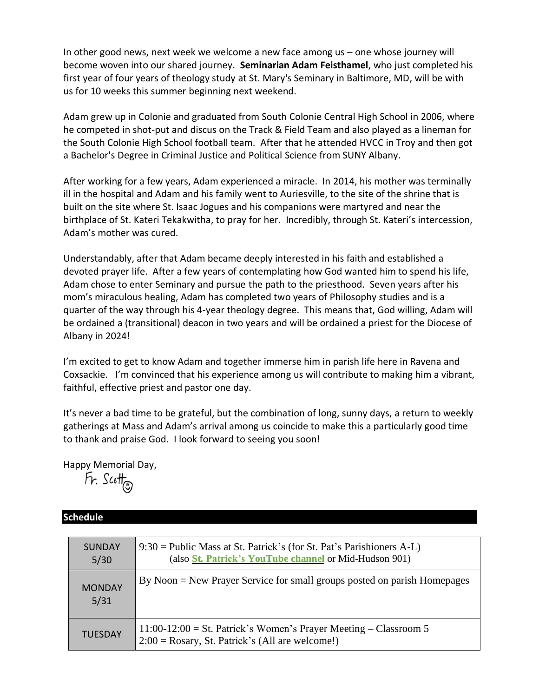In other good news, next week we welcome a new face among us – one whose journey will become woven into our shared journey. **Seminarian Adam Feisthamel**, who just completed his first year of four years of theology study at St. Mary's Seminary in Baltimore, MD, will be with us for 10 weeks this summer beginning next weekend.

Adam grew up in Colonie and graduated from South Colonie Central High School in 2006, where he competed in shot-put and discus on the Track & Field Team and also played as a lineman for the South Colonie High School football team. After that he attended HVCC in Troy and then got a Bachelor's Degree in Criminal Justice and Political Science from SUNY Albany.

After working for a few years, Adam experienced a miracle. In 2014, his mother was terminally ill in the hospital and Adam and his family went to Auriesville, to the site of the shrine that is built on the site where St. Isaac Jogues and his companions were martyred and near the birthplace of St. Kateri Tekakwitha, to pray for her. Incredibly, through St. Kateri's intercession, Adam's mother was cured.

Understandably, after that Adam became deeply interested in his faith and established a devoted prayer life. After a few years of contemplating how God wanted him to spend his life, Adam chose to enter Seminary and pursue the path to the priesthood. Seven years after his mom's miraculous healing, Adam has completed two years of Philosophy studies and is a quarter of the way through his 4-year theology degree. This means that, God willing, Adam will be ordained a (transitional) deacon in two years and will be ordained a priest for the Diocese of Albany in 2024!

I'm excited to get to know Adam and together immerse him in parish life here in Ravena and Coxsackie. I'm convinced that his experience among us will contribute to making him a vibrant, faithful, effective priest and pastor one day.

It's never a bad time to be grateful, but the combination of long, sunny days, a return to weekly gatherings at Mass and Adam's arrival among us coincide to make this a particularly good time to thank and praise God. I look forward to seeing you soon!

Happy Memorial Day,<br>
Fr. Scott<sub>on</sub>

# **Schedule**

| <b>SUNDAY</b><br>5/30 | $9:30$ = Public Mass at St. Patrick's (for St. Pat's Parishioners A-L)<br>(also St. Patrick's YouTube channel or Mid-Hudson 901) |
|-----------------------|----------------------------------------------------------------------------------------------------------------------------------|
| <b>MONDAY</b><br>5/31 | By Noon = New Prayer Service for small groups posted on parish Homepages                                                         |
| <b>TUESDAY</b>        | $11:00-12:00 =$ St. Patrick's Women's Prayer Meeting – Classroom 5<br>$2:00 = Rosary$ , St. Patrick's (All are welcome!)         |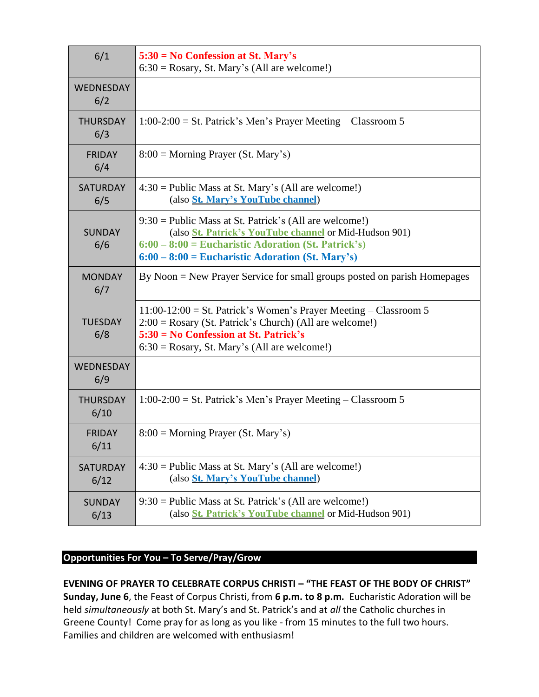| 6/1                     | $5:30 = No$ Confession at St. Mary's<br>$6:30 = Rosary$ , St. Mary's (All are welcome!)                                                                                                                                                  |
|-------------------------|------------------------------------------------------------------------------------------------------------------------------------------------------------------------------------------------------------------------------------------|
| <b>WEDNESDAY</b><br>6/2 |                                                                                                                                                                                                                                          |
| <b>THURSDAY</b><br>6/3  | $1:00-2:00 =$ St. Patrick's Men's Prayer Meeting – Classroom 5                                                                                                                                                                           |
| <b>FRIDAY</b><br>6/4    | $8:00 = \text{Morning } \text{Prayer } (\text{St. } \text{Mary's})$                                                                                                                                                                      |
| <b>SATURDAY</b><br>6/5  | $4:30 =$ Public Mass at St. Mary's (All are welcome!)<br>(also St. Mary's YouTube channel)                                                                                                                                               |
| <b>SUNDAY</b><br>6/6    | $9:30 =$ Public Mass at St. Patrick's (All are welcome!)<br>(also <i>St. Patrick's YouTube channel or Mid-Hudson 901)</i><br>$6:00 - 8:00 =$ Eucharistic Adoration (St. Patrick's)<br>$6:00 - 8:00 =$ Eucharistic Adoration (St. Mary's) |
| <b>MONDAY</b><br>6/7    | By Noon = New Prayer Service for small groups posted on parish Homepages                                                                                                                                                                 |
| <b>TUESDAY</b><br>6/8   | $11:00-12:00 =$ St. Patrick's Women's Prayer Meeting – Classroom 5<br>$2:00 = Rosary$ (St. Patrick's Church) (All are welcome!)<br>5:30 = No Confession at St. Patrick's<br>$6:30 = Rosary$ , St. Mary's (All are welcome!)              |
| <b>WEDNESDAY</b><br>6/9 |                                                                                                                                                                                                                                          |
| <b>THURSDAY</b><br>6/10 | $1:00-2:00 =$ St. Patrick's Men's Prayer Meeting – Classroom 5                                                                                                                                                                           |
| <b>FRIDAY</b><br>6/11   | $8:00 =$ Morning Prayer (St. Mary's)                                                                                                                                                                                                     |
| <b>SATURDAY</b><br>6/12 | $4:30 =$ Public Mass at St. Mary's (All are welcome!)<br>(also St. Mary's YouTube channel)                                                                                                                                               |
| <b>SUNDAY</b><br>6/13   | $9:30 =$ Public Mass at St. Patrick's (All are welcome!)<br>(also <i>St. Patrick's YouTube channel or Mid-Hudson 901)</i>                                                                                                                |

# **Opportunities For You – To Serve/Pray/Grow**

**EVENING OF PRAYER TO CELEBRATE CORPUS CHRISTI – "THE FEAST OF THE BODY OF CHRIST" Sunday, June 6**, the Feast of Corpus Christi, from **6 p.m. to 8 p.m.** Eucharistic Adoration will be held *simultaneously* at both St. Mary's and St. Patrick's and at *all* the Catholic churches in Greene County! Come pray for as long as you like - from 15 minutes to the full two hours. Families and children are welcomed with enthusiasm!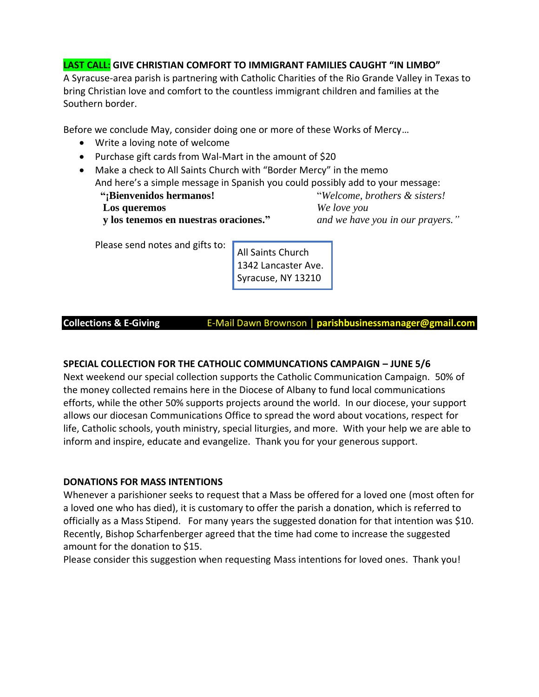# **LAST CALL: GIVE CHRISTIAN COMFORT TO IMMIGRANT FAMILIES CAUGHT "IN LIMBO"**

A Syracuse-area parish is partnering with Catholic Charities of the Rio Grande Valley in Texas to bring Christian love and comfort to the countless immigrant children and families at the Southern border.

Before we conclude May, consider doing one or more of these Works of Mercy…

- Write a loving note of welcome
- Purchase gift cards from Wal-Mart in the amount of \$20
- Make a check to All Saints Church with "Border Mercy" in the memo And here's a simple message in Spanish you could possibly add to your message:

 **"¡Bienvenidos hermanos!** "*Welcome, brothers & sisters!*  **Los queremos** *We love you*  **y los tenemos en nuestras oraciones."** *and we have you in our prayers."*

Please send notes and gifts to:

All Saints Church 1342 Lancaster Ave. Syracuse, NY 13210

**Collections & E-Giving** E-Mail Dawn Brownson | **parishbusinessmanager@gmail.com**

# **SPECIAL COLLECTION FOR THE CATHOLIC COMMUNCATIONS CAMPAIGN – JUNE 5/6**

Next weekend our special collection supports the Catholic Communication Campaign. 50% of the money collected remains here in the Diocese of Albany to fund local communications efforts, while the other 50% supports projects around the world. In our diocese, your support allows our diocesan Communications Office to spread the word about vocations, respect for life, Catholic schools, youth ministry, special liturgies, and more. With your help we are able to inform and inspire, educate and evangelize. Thank you for your generous support.

# **DONATIONS FOR MASS INTENTIONS**

Whenever a parishioner seeks to request that a Mass be offered for a loved one (most often for a loved one who has died), it is customary to offer the parish a donation, which is referred to officially as a Mass Stipend. For many years the suggested donation for that intention was \$10. Recently, Bishop Scharfenberger agreed that the time had come to increase the suggested amount for the donation to \$15.

Please consider this suggestion when requesting Mass intentions for loved ones. Thank you!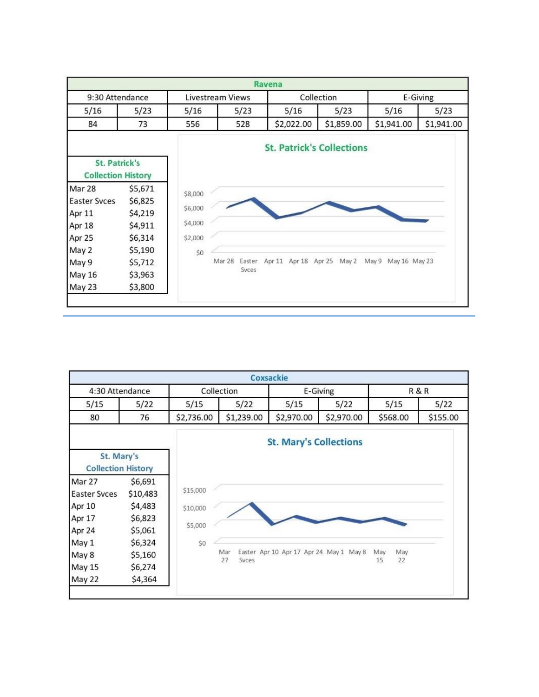|                                                     |         |                  |        |        | Ravena                     |  |                                  |            |               |            |  |
|-----------------------------------------------------|---------|------------------|--------|--------|----------------------------|--|----------------------------------|------------|---------------|------------|--|
| 9:30 Attendance                                     |         | Livestream Views |        |        | Collection                 |  |                                  |            | E-Giving      |            |  |
| 5/16                                                | 5/23    | 5/16             |        | 5/23   | 5/16                       |  | 5/23                             | 5/16       |               | 5/23       |  |
| 84                                                  | 73      | 556              |        | 528    | \$2,022.00                 |  | \$1,859.00                       | \$1,941.00 |               | \$1,941.00 |  |
|                                                     |         |                  |        |        |                            |  | <b>St. Patrick's Collections</b> |            |               |            |  |
| <b>St. Patrick's</b><br><b>Collection History</b>   |         |                  |        |        |                            |  |                                  |            |               |            |  |
| Mar 28                                              | \$5,671 | \$8,000          |        |        |                            |  |                                  |            |               |            |  |
| <b>Easter Svces</b>                                 | \$6,825 |                  |        |        |                            |  |                                  |            |               |            |  |
| Apr 11                                              | \$4,219 | \$6,000          |        |        |                            |  |                                  |            |               |            |  |
|                                                     |         | \$4,000          |        |        |                            |  |                                  |            |               |            |  |
|                                                     | \$4,911 |                  |        |        |                            |  |                                  |            |               |            |  |
|                                                     | \$6,314 | \$2,000          |        |        |                            |  |                                  |            |               |            |  |
|                                                     | \$5,190 |                  |        |        |                            |  |                                  |            |               |            |  |
|                                                     | \$5,712 | \$0              | Mar 28 | Easter | Apr 11 Apr 18 Apr 25 May 2 |  |                                  | May 9      | May 16 May 23 |            |  |
| Apr 18<br>Apr 25<br>May 2<br>May 9<br><b>May 16</b> | \$3,963 |                  |        | Syces  |                            |  |                                  |            |               |            |  |

|                                         |          |            |                    | Coxsackie                     |                                         |                        |          |  |
|-----------------------------------------|----------|------------|--------------------|-------------------------------|-----------------------------------------|------------------------|----------|--|
| 4:30 Attendance                         |          |            | Collection         |                               | E-Giving                                | <b>R&amp;R</b>         |          |  |
| 5/15                                    | 5/22     | 5/15       | 5/22               | 5/15                          | 5/22                                    | 5/15                   | 5/22     |  |
| 80                                      | 76       | \$2,736.00 | \$1,239.00         | \$2,970.00                    | \$2,970.00                              | \$568.00               | \$155.00 |  |
| St. Mary's<br><b>Collection History</b> |          |            |                    | <b>St. Mary's Collections</b> |                                         |                        |          |  |
| Mar 27                                  | \$6,691  |            |                    |                               |                                         |                        |          |  |
| Easter Syces                            | \$10,483 | \$15,000   |                    |                               |                                         |                        |          |  |
| Apr 10                                  | \$4,483  | \$10,000   |                    |                               |                                         |                        |          |  |
| Apr 17                                  | \$6,823  |            |                    |                               |                                         |                        |          |  |
| Apr 24                                  | \$5,061  | \$5,000    |                    |                               |                                         |                        |          |  |
| May 1                                   | \$6,324  | \$0        |                    |                               |                                         |                        |          |  |
| May 8                                   | \$5,160  |            | Mar<br>Syces<br>27 |                               | Easter Apr 10 Apr 17 Apr 24 May 1 May 8 | May<br>May<br>22<br>15 |          |  |
|                                         |          |            |                    |                               |                                         |                        |          |  |
| May 15                                  | \$6,274  |            |                    |                               |                                         |                        |          |  |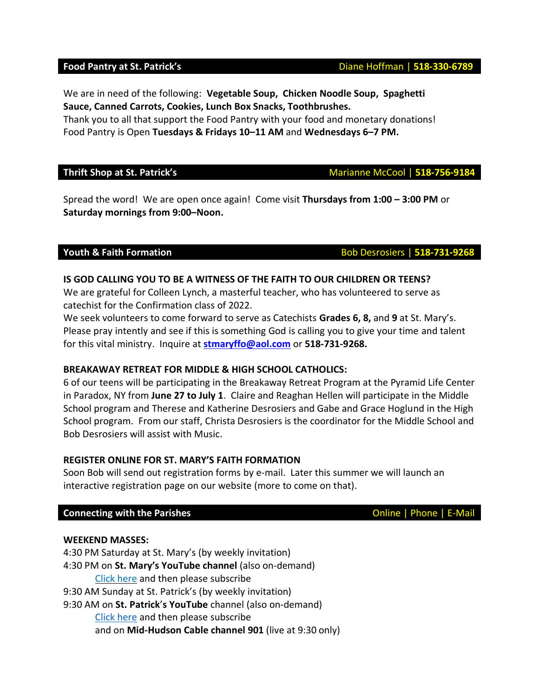We are in need of the following: **Vegetable Soup, Chicken Noodle Soup, Spaghetti Sauce, Canned Carrots, Cookies, Lunch Box Snacks, Toothbrushes.**

Thank you to all that support the Food Pantry with your food and monetary donations! Food Pantry is Open **Tuesdays & Fridays 10–11 AM** and **Wednesdays 6–7 PM.** 

### **Thrift Shop at St. Patrick's** Marianne McCool | **518-756-9184**

Spread the word! We are open once again! Come visit **Thursdays from 1:00 – 3:00 PM** or **Saturday mornings from 9:00–Noon.**

# **IS GOD CALLING YOU TO BE A WITNESS OF THE FAITH TO OUR CHILDREN OR TEENS?**

We are grateful for Colleen Lynch, a masterful teacher, who has volunteered to serve as catechist for the Confirmation class of 2022.

We seek volunteers to come forward to serve as Catechists **Grades 6, 8,** and **9** at St. Mary's. Please pray intently and see if this is something God is calling you to give your time and talent for this vital ministry. Inquire at **[stmaryffo@aol.com](mailto:stmaryffo@aol.com)** or **518-731-9268.**

# **BREAKAWAY RETREAT FOR MIDDLE & HIGH SCHOOL CATHOLICS:**

6 of our teens will be participating in the Breakaway Retreat Program at the Pyramid Life Center in Paradox, NY from **June 27 to July 1**. Claire and Reaghan Hellen will participate in the Middle School program and Therese and Katherine Desrosiers and Gabe and Grace Hoglund in the High School program. From our staff, Christa Desrosiers is the coordinator for the Middle School and Bob Desrosiers will assist with Music.

# **REGISTER ONLINE FOR ST. MARY'S FAITH FORMATION**

Soon Bob will send out registration forms by e-mail. Later this summer we will launch an interactive registration page on our website (more to come on that).

### **Connecting with the Parishes Connecting with the Parishes Connecting With the Parishes**

### **WEEKEND MASSES:**

4:30 PM Saturday at St. Mary's (by weekly invitation) 4:30 PM on **St. Mary's YouTube channel** (also on-demand) Click [here](https://www.youtube.com/channel/UCfROBLJIztwzZryPen47Yig/featured) and then please subscribe 9:30 AM Sunday at St. Patrick's (by weekly invitation) 9:30 AM on **St. Patrick**'**s YouTube** channel (also on-demand) Click [here](https://www.youtube.com/channel/UCIRr4Mwue0TdsuS3HtWm4DA) and then please subscribe and on **Mid-Hudson Cable channel 901** (live at 9:30 only)

**Food Pantry at St. Patrick's Diane Hoffman | 518-330-6789** 

**Youth & Faith Formation**